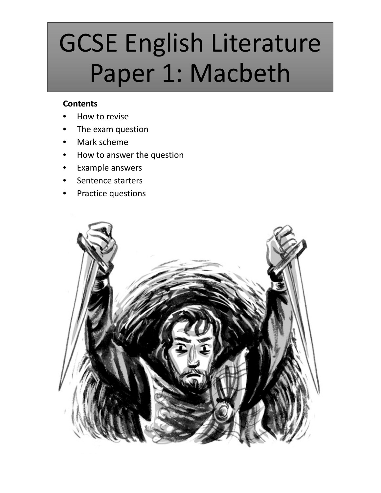# GCSE English Literature Paper 1: Macbeth

### **Contents**

- How to revise
- The exam question
- Mark scheme
- How to answer the question
- Example answers
- Sentence starters
- Practice questions

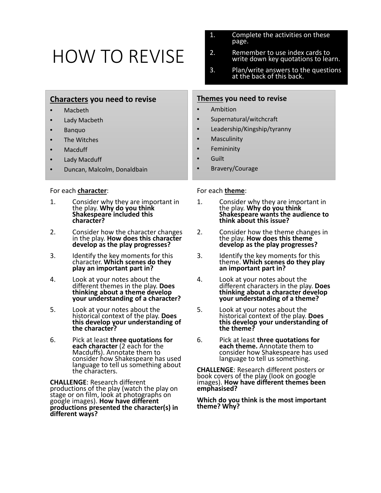## HOW TO REVISE

|                                                                                                                                                                               | at the back of this back.                                                                                                                 |
|-------------------------------------------------------------------------------------------------------------------------------------------------------------------------------|-------------------------------------------------------------------------------------------------------------------------------------------|
| <b>Characters you need to revise</b><br>Macbeth<br>$\bullet$                                                                                                                  | Themes you need to revise<br>Ambition                                                                                                     |
| $\bullet$<br>Lady Macbeth<br>$\bullet$<br>Banquo<br>$\bullet$<br>The Witches<br>$\bullet$<br>Macduff<br>$\bullet$<br>Lady Macduff<br>$\bullet$<br>Duncan, Malcolm, Donaldbain | Supernatural/witchcraft<br>Leadership/Kingship/tyranny<br>$\bullet$<br>Masculinity<br>Femininity<br>Guilt<br>Bravery/Courage<br>$\bullet$ |
| For each <b>character</b> :<br>.                                                                                                                                              | For each theme:                                                                                                                           |

- 1. Consider why they are important in the play. **Why do you think Shakespeare included this character?**
- 2. Consider how the character changes in the play. **How does this character develop as the play progresses?**
- 3. Identify the key moments for this character. **Which scenes do they play an important part in?**
- 4. Look at your notes about the different themes in the play. **Does thinking about a theme develop your understanding of a character?**
- 5. Look at your notes about the historical context of the play. **Does this develop your understanding of the character?**
- 6. Pick at least **three quotations for each character** (2 each for the Macduffs). Annotate them to consider how Shakespeare has used language to tell us something about the characters.

**CHALLENGE**: Research different productions of the play (watch the play on stage or on film, look at photographs on google images). **How have different productions presented the character(s) in different ways?**

1. Consider why they are important in the play. **Why do you think Shakespeare wants the audience to think about this issue?**

1. Complete the activities on these

2. Remember to use index cards to

3. Plan/write answers to the questions

write down key quotations to learn.

page.

- 2. Consider how the theme changes in the play. **How does this theme develop as the play progresses?**
- 3. Identify the key moments for this theme. **Which scenes do they play an important part in?**
- 4. Look at your notes about the different characters in the play. **Does thinking about a character develop your understanding of a theme?**
- 5. Look at your notes about the historical context of the play. **Does this develop your understanding of the theme?**
- 6. Pick at least **three quotations for each theme.** Annotate them to consider how Shakespeare has used language to tell us something.

**CHALLENGE**: Research different posters or book covers of the play (look on google images). **How have different themes been emphasised?**

**Which do you think is the most important theme? Why?**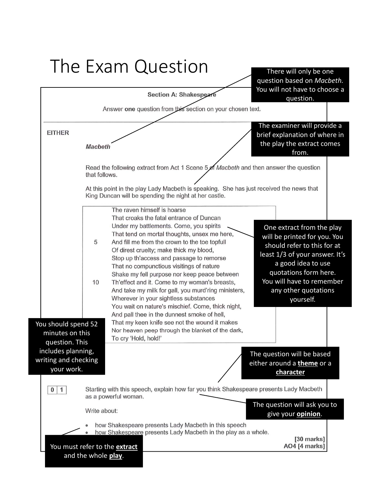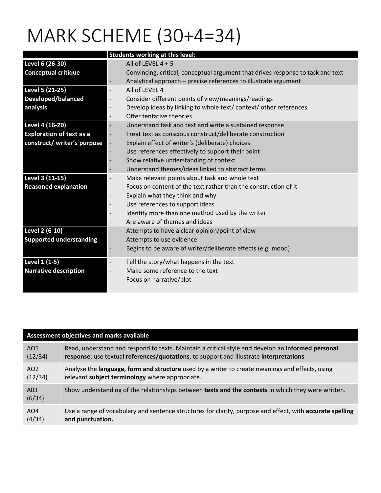## MARK SCHEME (30+4=34)

|                                 | Students working at this level:                                                                             |
|---------------------------------|-------------------------------------------------------------------------------------------------------------|
| Level 6 (26-30)                 | All of LEVEL $4 + 5$                                                                                        |
| <b>Conceptual critique</b>      | Convincing, critical, conceptual argument that drives response to task and text<br>$\overline{\phantom{a}}$ |
|                                 | Analytical approach - precise references to illustrate argument                                             |
| Level 5 (21-25)                 | All of LEVEL 4                                                                                              |
| Developed/balanced              | Consider different points of view/meanings/readings<br>$\overline{\phantom{a}}$                             |
| analysis                        | Develop ideas by linking to whole text/ context/ other references<br>$\overline{\phantom{a}}$               |
|                                 | Offer tentative theories                                                                                    |
| Level 4 (16-20)                 | Understand task and text and write a sustained response                                                     |
| <b>Exploration of text as a</b> | Treat text as conscious construct/deliberate construction<br>$\overline{\phantom{a}}$                       |
| construct/ writer's purpose     | Explain effect of writer's (deliberate) choices                                                             |
|                                 | Use references effectively to support their point                                                           |
|                                 | Show relative understanding of context                                                                      |
|                                 | Understand themes/ideas linked to abstract terms                                                            |
| Level 3 (11-15)                 | Make relevant points about task and whole text                                                              |
| <b>Reasoned explanation</b>     | Focus on content of the text rather than the construction of it<br>$\overline{\phantom{a}}$                 |
|                                 | Explain what they think and why<br>$\overline{\phantom{a}}$                                                 |
|                                 | Use references to support ideas                                                                             |
|                                 | Identify more than one method used by the writer                                                            |
|                                 | Are aware of themes and ideas<br>$\overline{\phantom{a}}$                                                   |
| Level 2 (6-10)                  | Attempts to have a clear opinion/point of view                                                              |
| <b>Supported understanding</b>  | Attempts to use evidence                                                                                    |
|                                 | Begins to be aware of writer/deliberate effects (e.g. mood)<br>$\overline{\phantom{a}}$                     |
| Level 1 (1-5)                   | Tell the story/what happens in the text                                                                     |
| <b>Narrative description</b>    | Make some reference to the text<br>$\overline{\phantom{a}}$                                                 |
|                                 | Focus on narrative/plot<br>$\overline{\phantom{a}}$                                                         |
|                                 |                                                                                                             |

| <b>Assessment objectives and marks available</b> |                                                                                                           |
|--------------------------------------------------|-----------------------------------------------------------------------------------------------------------|
| AO1                                              | Read, understand and respond to texts. Maintain a critical style and develop an informed personal         |
| (12/34)                                          | response; use textual references/quotations, to support and illustrate interpretations                    |
| AO <sub>2</sub>                                  | Analyse the language, form and structure used by a writer to create meanings and effects, using           |
| (12/34)                                          | relevant subject terminology where appropriate.                                                           |
| A03<br>(6/34)                                    | Show understanding of the relationships between texts and the contexts in which they were written.        |
| AO4                                              | Use a range of vocabulary and sentence structures for clarity, purpose and effect, with accurate spelling |
| (4/34)                                           | and punctuation.                                                                                          |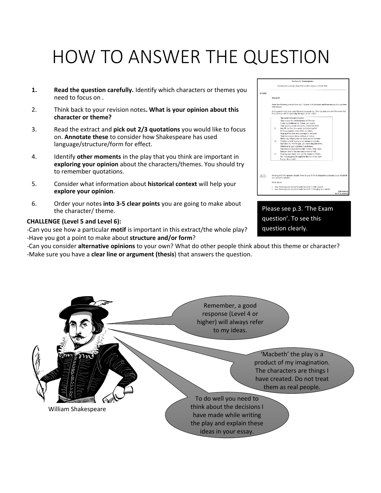## HOW TO ANSWER THE QUESTION

- **1. Read the question carefully.** Identify which characters or themes you need to focus on .
- 2. Think back to your revision notes**. What is your opinion about this character or theme?**
- 3. Read the extract and **pick out 2/3 quotations** you would like to focus on. **Annotate these** to consider how Shakespeare has used language/structure/form for effect.
- 4. Identify **other moments** in the play that you think are important in **exploring your opinion** about the characters/themes. You should try to remember quotations.
- 5. Consider what information about **historical context** will help your **explore your opinion**.
- 6. Order your notes **into 3‐5 clear points** you are going to make about the character/ theme.

### **CHALLENGE (Level 5 and Level 6):**

‐Can you see how a particular **motif** is important in this extract/the whole play? ‐Have you got a point to make about **structure and/or form**?

‐Can you consider **alternative opinions** to your own? What do other people think about this theme or character? ‐Make sure you have a **clear line or argument (thesis**) that answers the question.

|              | Section A: Shakespeare                                                                                                                                                                                                                                                                                                                                                                                                                                                                                                                                                                                                                                                                                                                                                                                      |
|--------------|-------------------------------------------------------------------------------------------------------------------------------------------------------------------------------------------------------------------------------------------------------------------------------------------------------------------------------------------------------------------------------------------------------------------------------------------------------------------------------------------------------------------------------------------------------------------------------------------------------------------------------------------------------------------------------------------------------------------------------------------------------------------------------------------------------------|
|              | Answer one question from this section on your chosen text.                                                                                                                                                                                                                                                                                                                                                                                                                                                                                                                                                                                                                                                                                                                                                  |
| <b>ETHER</b> |                                                                                                                                                                                                                                                                                                                                                                                                                                                                                                                                                                                                                                                                                                                                                                                                             |
|              | Macheth                                                                                                                                                                                                                                                                                                                                                                                                                                                                                                                                                                                                                                                                                                                                                                                                     |
|              | Read the following extract from Act 1 Scene 5 of Macbeth and then answer the question<br>that follows.                                                                                                                                                                                                                                                                                                                                                                                                                                                                                                                                                                                                                                                                                                      |
|              | At this point in the play Lady Macbeth is speaking. She has just received the news that<br>King Duncan will be spending the night at her castle.                                                                                                                                                                                                                                                                                                                                                                                                                                                                                                                                                                                                                                                            |
|              | The rayen himself is hoarse<br>That creates the fatal entrance of Duncan<br>Under my battlements. Corne, you spirits<br>That tend on mortal thoughts, unsex me here,<br>6.<br>And fill me from the crown to the toe topfull<br>Of direst cruelty; make thick my blood,<br>Stop up th'access and passage to remorse<br>That no compunctious visitings of nature<br>Shake my fell purpose nor keep peace between<br>10<br>Th'effect and it. Come to my woman's broasts.<br>And take my milk for gall, you murd'ring ministers,<br>Wherever in your sightless substances<br>You walt on nature's mischief. Come, thick night,<br>And gall thee in the dunnest smoke of hall.<br>15<br>That my keen knife see not the wound it makes<br>Nor heaven peep through the blanket of the dark.<br>To av 'Hold, hold!' |
| 0   1        | Starting with this speech, explain how far you think Shakespeare presents Lady Macbeth<br>as a powerful woman.<br>Write about:                                                                                                                                                                                                                                                                                                                                                                                                                                                                                                                                                                                                                                                                              |
|              | how Shakespeare presents Lady Macbeth in this speech<br>how Shakespeare presents Lady Macbeth in the play as a whole.<br>[30 marks]<br>AO4 [4 marks]                                                                                                                                                                                                                                                                                                                                                                                                                                                                                                                                                                                                                                                        |

Please see p.3. 'The Exam question'. To see this question clearly.

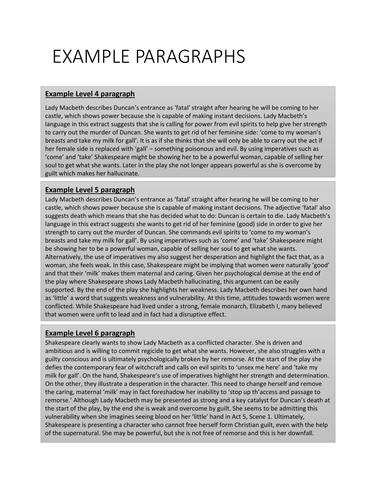## EXAMPLE PARAGRAPHS

### **Example Level 4 paragraph**

Lady Macbeth describes Duncan's entrance as 'fatal' straight after hearing he will be coming to her castle, which shows power because she is capable of making instant decisions. Lady Macbeth's language in this extract suggests that she is calling for power from evil spirits to help give her strength to carry out the murder of Duncan. She wants to get rid of her feminine side: 'come to my woman's breasts and take my milk for gall'. It is as if she thinks that she will only be able to carry out the act if her female side is replaced with 'gall' – something poisonous and evil. By using imperatives such as 'come' and 'take' Shakespeare might be showing her to be a powerful woman, capable of selling her soul to get what she wants. Later in the play she not longer appears powerful as she is overcome by guilt which makes her hallucinate.

### **Example Level 5 paragraph**

Lady Macbeth describes Duncan's entrance as 'fatal' straight after hearing he will be coming to her castle, which shows power because she is capable of making instant decisions. The adjective 'fatal' also suggests death which means that she has decided what to do: Duncan is certain to die. Lady Macbeth's language in this extract suggests she wants to get rid of her feminine (good) side in order to give her strength to carry out the murder of Duncan. She commands evil spirits to 'come to my woman's breasts and take my milk for gall'. By using imperatives such as 'come' and 'take' Shakespeare might be showing her to be a powerful woman, capable of selling her soul to get what she wants. Alternatively, the use of imperatives my also suggest her desperation and highlight the fact that, as a woman, she feels weak. In this case, Shakespeare might be implying that women were naturally 'good' and that their 'milk' makes them maternal and caring. Given her psychological demise at the end of the play where Shakespeare shows Lady Macbeth hallucinating, this argument can be easily supported. By the end of the play she highlights her weakness. Lady Macbeth describes her own hand as 'little' a word that suggests weakness and vulnerability. At this time, attitudes towards women were conflicted. While Shakespeare had lived under a strong, female monarch, Elizabeth I, many believed that women were unfit to lead and in fact had a disruptive effect.

### **Example Level 6 paragraph**

Shakespeare clearly wants to show Lady Macbeth as a conflicted character. She is driven and ambitious and is willing to commit regicide to get what she wants. However, she also struggles with a guilty conscious and is ultimately psychologically broken by her remorse. At the start of the play she defies the contemporary fear of witchcraft and calls on evil spirits to 'unsex me here' and 'take my milk for gall'. On the hand, Shakespeare's use of imperatives highlight her strength and determination. On the other, they illustrate a desperation in the character. This need to change herself and remove the caring, maternal 'milk' may in fact foreshadow her inability to 'stop up th'access and passage to remorse.' Although Lady Macbeth may be presented as strong and a key catalyst for Duncan's death at the start of the play, by the end she is weak and overcome by guilt. She seems to be admitting this vulnerability when she imagines seeing blood on her 'little' hand in Act 5, Scene 1. Ultimately, Shakespeare is presenting a character who cannot free herself form Christian guilt, even with the help of the supernatural. She may be powerful, but she is not free of remorse and this is her downfall.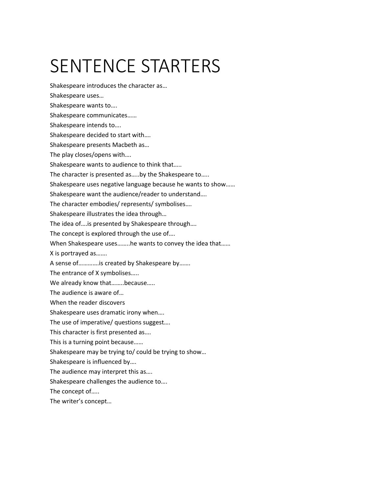## SENTENCE STARTERS

Shakespeare introduces the character as…

Shakespeare uses… Shakespeare wants to…. Shakespeare communicates…… Shakespeare intends to…. Shakespeare decided to start with…. Shakespeare presents Macbeth as… The play closes/opens with…. Shakespeare wants to audience to think that….. The character is presented as…..by the Shakespeare to….. Shakespeare uses negative language because he wants to show…… Shakespeare want the audience/reader to understand…. The character embodies/ represents/ symbolises…. Shakespeare illustrates the idea through… The idea of….is presented by Shakespeare through…. The concept is explored through the use of…. When Shakespeare uses……..he wants to convey the idea that…… X is portrayed as……. A sense of………….is created by Shakespeare by……. The entrance of X symbolises….. We already know that........because..... The audience is aware of… When the reader discovers Shakespeare uses dramatic irony when…. The use of imperative/ questions suggest…. This character is first presented as…. This is a turning point because…… Shakespeare may be trying to/ could be trying to show… Shakespeare is influenced by…. The audience may interpret this as…. Shakespeare challenges the audience to…. The concept of….. The writer's concept…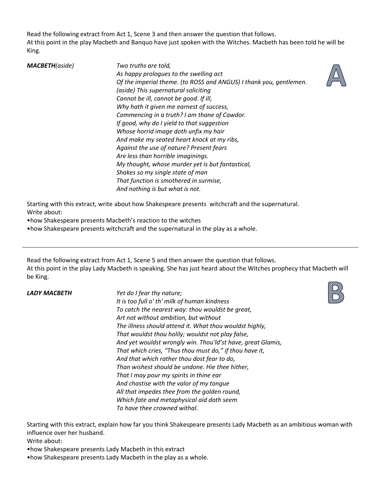Read the following extract from Act 1, Scene 3 and then answer the question that follows. At this point in the play Macbeth and Banquo have just spoken with the Witches. Macbeth has been told he will be King.

| <b>MACBETH</b> (aside) | Two truths are told,                                               |
|------------------------|--------------------------------------------------------------------|
|                        | As happy prologues to the swelling act                             |
|                        | Of the imperial theme. (to ROSS and ANGUS) I thank you, gentlemen. |
|                        | (aside) This supernatural soliciting                               |
|                        | Cannot be ill, cannot be good. If ill,                             |
|                        | Why hath it given me earnest of success,                           |
|                        | Commencing in a truth? I am thane of Cawdor.                       |
|                        | If good, why do I yield to that suggestion                         |
|                        | Whose horrid image doth unfix my hair                              |
|                        | And make my seated heart knock at my ribs,                         |
|                        | Against the use of nature? Present fears                           |
|                        | Are less than horrible imaginings.                                 |
|                        | My thought, whose murder yet is but fantastical,                   |
|                        | Shakes so my single state of man                                   |
|                        | That function is smothered in surmise,                             |
|                        | And nothing is but what is not.                                    |
|                        |                                                                    |

Starting with this extract, write about how Shakespeare presents witchcraft and the supernatural. Write about:

•how Shakespeare presents Macbeth's reaction to the witches

•how Shakespeare presents witchcraft and the supernatural in the play as a whole.

Read the following extract from Act 1, Scene 5 and then answer the question that follows. At this point in the play Lady Macbeth is speaking. She has just heard about the Witches prophecy that Macbeth will be King.

*LADY MACBETH Yet do I fear thy nature; It is too full o' th' milk of human kindness To catch the nearest way: thou wouldst be great, Art not without ambition, but without The illness should attend it. What thou wouldst highly, That wouldst thou holily; wouldst not play false, And yet wouldst wrongly win. Thou'ld'st have, great Glamis, That which cries, "Thus thou must do," if thou have it, And that which rather thou dost fear to do, Than wishest should be undone. Hie thee hither, That I may pour my spirits in thine ear And chastise with the valor of my tongue All that impedes thee from the golden round, Which fate and metaphysical aid doth seem To have thee crowned withal.*

Starting with this extract, explain how far you think Shakespeare presents Lady Macbeth as an ambitious woman with influence over her husband.

Write about:

- •how Shakespeare presents Lady Macbeth in this extract
- •how Shakespeare presents Lady Macbeth in the play as a whole.



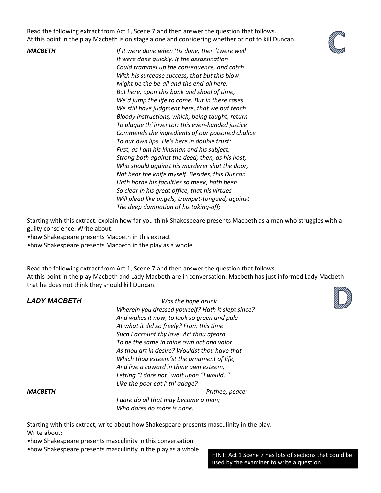Read the following extract from Act 1, Scene 7 and then answer the question that follows. At this point in the play Macbeth is on stage alone and considering whether or not to kill Duncan.



*MACBETH If it were done when 'tis done, then 'twere well It were done quickly. If the assassination Could trammel up the consequence, and catch With his surcease success; that but this blow Might be the be‐all and the end‐all here, But here, upon this bank and shoal of time, We'd jump the life to come. But in these cases We still have judgment here, that we but teach Bloody instructions, which, being taught, return To plague th' inventor: this even‐handed justice Commends the ingredients of our poisoned chalice To our own lips. He's here in double trust: First, as I am his kinsman and his subject, Strong both against the deed; then, as his host, Who should against his murderer shut the door, Not bear the knife myself. Besides, this Duncan Hath borne his faculties so meek, hath been So clear in his great office, that his virtues Will plead like angels, trumpet‐tongued, against The deep damnation of his taking‐off;*

Starting with this extract, explain how far you think Shakespeare presents Macbeth as a man who struggles with a guilty conscience. Write about:

•how Shakespeare presents Macbeth in this extract

•how Shakespeare presents Macbeth in the play as a whole.

Read the following extract from Act 1, Scene 7 and then answer the question that follows. At this point in the play Macbeth and Lady Macbeth are in conversation. Macbeth has just informed Lady Macbeth that he does not think they should kill Duncan.

| <b>LADY MACBETH</b> | Was the hope drunk                                 |
|---------------------|----------------------------------------------------|
|                     | Wherein you dressed yourself? Hath it slept since? |
|                     | And wakes it now, to look so green and pale        |
|                     | At what it did so freely? From this time           |
|                     | Such I account thy love. Art thou afeard           |
|                     | To be the same in thine own act and valor          |
|                     | As thou art in desire? Wouldst thou have that      |
|                     | Which thou esteem'st the ornament of life,         |
|                     | And live a coward in thine own esteem,             |
|                     | Letting "I dare not" wait upon "I would, "         |
|                     | Like the poor cat i' th' adage?                    |
| <b>MACBETH</b>      | Prithee, peace:                                    |
|                     | I dare do all that may become a man;               |
|                     | Who dares do more is none.                         |
|                     |                                                    |

Starting with this extract, write about how Shakespeare presents masculinity in the play. Write about:

•how Shakespeare presents masculinity in this conversation

•how Shakespeare presents masculinity in the play as a whole.

HINT: Act 1 Scene 7 has lots of sections that could be used by the examiner to write a question.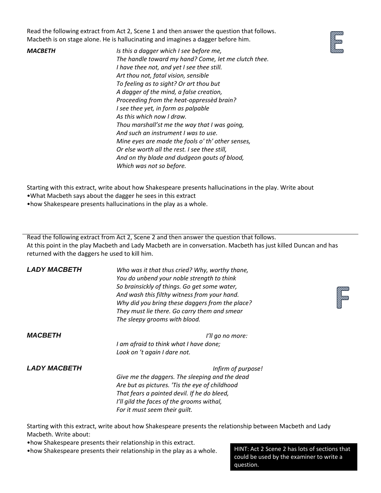Read the following extract from Act 2, Scene 1 and then answer the question that follows. Macbeth is on stage alone. He is hallucinating and imagines a dagger before him.

*MACBETH Is this a dagger which I see before me, The handle toward my hand? Come, let me clutch thee. I have thee not, and yet I see thee still. Art thou not, fatal vision, sensible To feeling as to sight? Or art thou but A dagger of the mind, a false creation, Proceeding from the heat‐oppressèd brain? I see thee yet, in form as palpable As this which now I draw. Thou marshall'st me the way that I was going, And such an instrument I was to use. Mine eyes are made the fools o' th' other senses, Or else worth all the rest. I see thee still, And on thy blade and dudgeon gouts of blood, Which was not so before.*

Starting with this extract, write about how Shakespeare presents hallucinations in the play. Write about •What Macbeth says about the dagger he sees in this extract

•how Shakespeare presents hallucinations in the play as a whole.

Read the following extract from Act 2, Scene 2 and then answer the question that follows. At this point in the play Macbeth and Lady Macbeth are in conversation. Macbeth has just killed Duncan and has returned with the daggers he used to kill him.

| <b>LADY MACBETH</b> | Who was it that thus cried? Why, worthy thane,  |
|---------------------|-------------------------------------------------|
|                     | You do unbend your noble strength to think      |
|                     | So brainsickly of things. Go get some water,    |
|                     | And wash this filthy witness from your hand.    |
|                     | Why did you bring these daggers from the place? |
|                     | They must lie there. Go carry them and smear    |
|                     | The sleepy grooms with blood.                   |
|                     |                                                 |



*MACBETH I'll go no more: I am afraid to think what I have done; Look on 't again I dare not.*

*LADY MACBETH Infirm of purpose! Give me the daggers. The sleeping and the dead Are but as pictures. 'Tis the eye of childhood That fears a painted devil. If he do bleed, I'll gild the faces of the grooms withal, For it must seem their guilt.*

Starting with this extract, write about how Shakespeare presents the relationship between Macbeth and Lady Macbeth. Write about:

•how Shakespeare presents their relationship in this extract.

•how Shakespeare presents their relationship in the play as a whole. HINT: Act 2 Scene 2 has lots of sections that

could be used by the examiner to write a question.

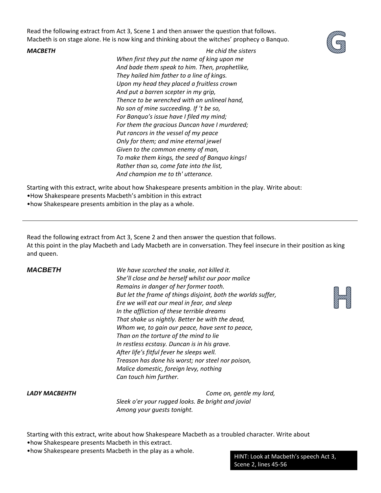Read the following extract from Act 3, Scene 1 and then answer the question that follows. Macbeth is on stage alone. He is now king and thinking about the witches' prophecy o Banquo.

*MACBETH He chid the sisters*



Starting with this extract, write about how Shakespeare presents ambition in the play. Write about:

•How Shakespeare presents Macbeth's ambition in this extract

•how Shakespeare presents ambition in the play as a whole.

Read the following extract from Act 3, Scene 2 and then answer the question that follows. At this point in the play Macbeth and Lady Macbeth are in conversation. They feel insecure in their position as king and queen.

*MACBETH We have scorched the snake, not killed it. She'll close and be herself whilst our poor malice Remains in danger of her former tooth. But let the frame of things disjoint, both the worlds suffer, Ere we will eat our meal in fear, and sleep In the affliction of these terrible dreams That shake us nightly. Better be with the dead, Whom we, to gain our peace, have sent to peace, Than on the torture of the mind to lie In restless ecstasy. Duncan is in his grave. After life's fitful fever he sleeps well. Treason has done his worst; nor steel nor poison, Malice domestic, foreign levy, nothing Can touch him further.*



*LADY MACBEHTH Come on, gentle my lord, Sleek o'er your rugged looks. Be bright and jovial Among your guests tonight.*

Starting with this extract, write about how Shakespeare Macbeth as a troubled character. Write about •how Shakespeare presents Macbeth in this extract.

•how Shakespeare presents Macbeth in the play as a whole.

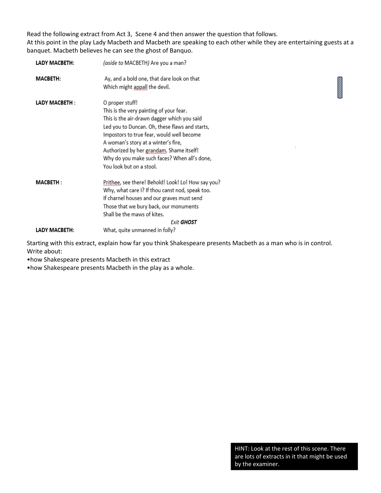Read the following extract from Act 3, Scene 4 and then answer the question that follows. At this point in the play Lady Macbeth and Macbeth are speaking to each other while they are entertaining guests at a banquet. Macbeth believes he can see the ghost of Banquo.

| LADY MACBETH:   | (aside to MACBETH) Are you a man?                                                                                                                                                                                                                                                                                                                                       |                                                                                                                       |
|-----------------|-------------------------------------------------------------------------------------------------------------------------------------------------------------------------------------------------------------------------------------------------------------------------------------------------------------------------------------------------------------------------|-----------------------------------------------------------------------------------------------------------------------|
| <b>MACBETH:</b> | Ay, and a bold one, that dare look on that<br>Which might appall the devil.                                                                                                                                                                                                                                                                                             | <b>Contract Contract Contract Contract Contract Contract Contract Contract Contract Contract Contract Contract Co</b> |
| LADY MACBETH:   | O proper stuff!<br>This is the very painting of your fear.<br>This is the air-drawn dagger which you said<br>Led you to Duncan. Oh, these flaws and starts,<br>Impostors to true fear, would well become<br>A woman's story at a winter's fire,<br>Authorized by her grandam, Shame itself!<br>Why do you make such faces? When all's done,<br>You look but on a stool. |                                                                                                                       |
| <b>MACBETH:</b> | Prithee, see there! Behold! Look! Lo! How say you?<br>Why, what care I? If thou canst nod, speak too.<br>If charnel houses and our graves must send<br>Those that we bury back, our monuments<br>Shall be the maws of kites.<br><b>Exit GHOST</b>                                                                                                                       |                                                                                                                       |
| LADY MACBETH:   | What, quite unmanned in folly?                                                                                                                                                                                                                                                                                                                                          |                                                                                                                       |

Starting with this extract, explain how far you think Shakespeare presents Macbeth as a man who is in control. Write about:

•how Shakespeare presents Macbeth in this extract

•how Shakespeare presents Macbeth in the play as a whole.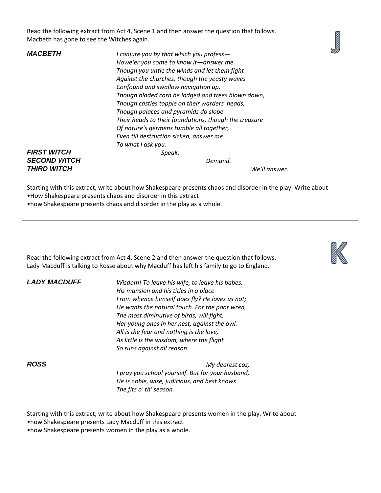Read the following extract from Act 4, Scene 1 and then answer the question that follows. Macbeth has gone to see the Witches again.



*MACBETH I conjure you by that which you profess— Howe'er you come to know it—answer me. Though you untie the winds and let them fight Against the churches, though the yeasty waves Confound and swallow navigation up, Though bladed corn be lodged and trees blown down, Though castles topple on their warders' heads, Though palaces and pyramids do slope Their heads to their foundations, though the treasure Of nature's germens tumble all together, Even till destruction sicken, answer me To what I ask you. FIRST WITCH Speak. SECOND WITCH Demand.*

## *THIRD WITCH We'll answer.*

Starting with this extract, write about how Shakespeare presents chaos and disorder in the play. Write about

•How Shakespeare presents chaos and disorder in this extract

•how Shakespeare presents chaos and disorder in the play as a whole.

Read the following extract from Act 4, Scene 2 and then answer the question that follows. Lady Macduff is talking to Rosse about why Macduff has left his family to go to England.

*LADY MACDUFF Wisdom! To leave his wife, to leave his babes, His mansion and his titles in a place From whence himself does fly? He loves us not; He wants the natural touch. For the poor wren, The most diminutive of birds, will fight, Her young ones in her nest, against the owl. All is the fear and nothing is the love, As little is the wisdom, where the flight So runs against all reason.*

*ROSS My dearest coz, I pray you school yourself. But for your husband, He is noble, wise, judicious, and best knows The fits o' th' season.*

Starting with this extract, write about how Shakespeare presents women in the play. Write about

•how Shakespeare presents Lady Macduff in this extract.

•how Shakespeare presents women in the play as a whole.

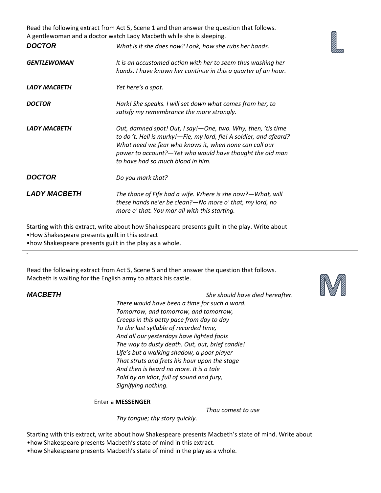Read the following extract from Act 5, Scene 1 and then answer the question that follows. A gentlewoman and a doctor watch Lady Macbeth while she is sleeping.

| <i><b>DOCTOR</b></i> | What is it she does now? Look, how she rubs her hands.                                                                                                                                                                                                                                          |
|----------------------|-------------------------------------------------------------------------------------------------------------------------------------------------------------------------------------------------------------------------------------------------------------------------------------------------|
| GENTLEWOMAN          | It is an accustomed action with her to seem thus washing her<br>hands. I have known her continue in this a quarter of an hour.                                                                                                                                                                  |
| LADY MACBETH         | Yet here's a spot.                                                                                                                                                                                                                                                                              |
| DOCTOR               | Hark! She speaks. I will set down what comes from her, to<br>satisfy my remembrance the more strongly.                                                                                                                                                                                          |
| LADY MACBETH         | Out, damned spot! Out, I say! - One, two. Why, then, 'tis time<br>to do 't. Hell is murky!-Fie, my lord, fie! A soldier, and afeard?<br>What need we fear who knows it, when none can call our<br>power to account?-Yet who would have thought the old man<br>to have had so much blood in him. |
| <i><b>DOCTOR</b></i> | Do you mark that?                                                                                                                                                                                                                                                                               |
| LADY MACBETH         | The thane of Fife had a wife. Where is she now?-What, will<br>these hands ne'er be clean?—No more o' that, my lord, no<br>more o' that. You mar all with this starting.                                                                                                                         |

Starting with this extract, write about how Shakespeare presents guilt in the play. Write about •How Shakespeare presents guilt in this extract

•how Shakespeare presents guilt in the play as a whole.

Read the following extract from Act 5, Scene 5 and then answer the question that follows. Macbeth is waiting for the English army to attack his castle.

### *.*

*.*

*MACBETH She should have died hereafter.*

*There would have been a time for such a word. Tomorrow, and tomorrow, and tomorrow, Creeps in this petty pace from day to day To the last syllable of recorded time, And all our yesterdays have lighted fools The way to dusty death. Out, out, brief candle! Life's but a walking shadow, a poor player That struts and frets his hour upon the stage And then is heard no more. It is a tale Told by an idiot, full of sound and fury, Signifying nothing.*

Enter a **MESSENGER**

*Thou comest to use*

*Thy tongue; thy story quickly.*

Starting with this extract, write about how Shakespeare presents Macbeth's state of mind. Write about •how Shakespeare presents Macbeth's state of mind in this extract.

•how Shakespeare presents Macbeth's state of mind in the play as a whole.